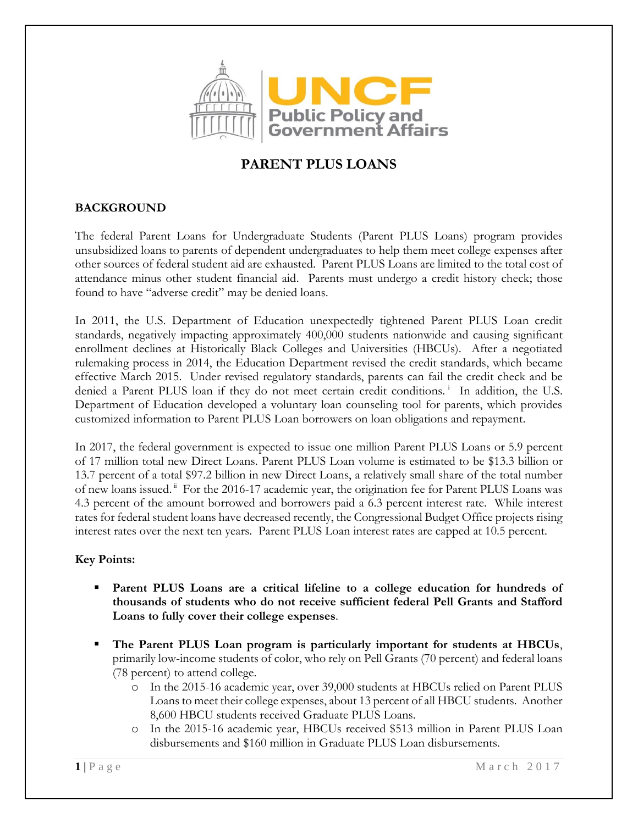

## **PARENT PLUS LOANS**

## **BACKGROUND**

The federal Parent Loans for Undergraduate Students (Parent PLUS Loans) program provides unsubsidized loans to parents of dependent undergraduates to help them meet college expenses after other sources of federal student aid are exhausted. Parent PLUS Loans are limited to the total cost of attendance minus other student financial aid. Parents must undergo a credit history check; those found to have "adverse credit" may be denied loans.

In 2011, the U.S. Department of Education unexpectedly tightened Parent PLUS Loan credit standards, negatively impacting approximately 400,000 students nationwide and causing significant enrollment declines at Historically Black Colleges and Universities (HBCUs). After a negotiated rulemaking process in 2014, the Education Department revised the credit standards, which became effective March 2015. Under revised regulatory standards, parents can fail the credit check and be denied a Parent PLUS loan if they do not meet certain credit conditions.<sup>i</sup> In addition, the U.S. Department of Education developed a voluntary loan counseling tool for parents, which provides customized information to Parent PLUS Loan borrowers on loan obligations and repayment.

In 2017, the federal government is expected to issue one million Parent PLUS Loans or 5.9 percent of 17 million total new Direct Loans. Parent PLUS Loan volume is estimated to be \$13.3 billion or 13.7 percent of a total \$97.2 billion in new Direct Loans, a relatively small share of the total number of new loans issued.<sup>ii</sup> For the 2016-17 academic year, the origination fee for Parent PLUS Loans was 4.3 percent of the amount borrowed and borrowers paid a 6.3 percent interest rate. While interest rates for federal student loans have decreased recently, the Congressional Budget Office projects rising interest rates over the next ten years. Parent PLUS Loan interest rates are capped at 10.5 percent.

## **Key Points:**

- **Parent PLUS Loans are a critical lifeline to a college education for hundreds of thousands of students who do not receive sufficient federal Pell Grants and Stafford Loans to fully cover their college expenses**.
- **The Parent PLUS Loan program is particularly important for students at HBCUs**, primarily low-income students of color, who rely on Pell Grants (70 percent) and federal loans (78 percent) to attend college.
	- o In the 2015-16 academic year, over 39,000 students at HBCUs relied on Parent PLUS Loans to meet their college expenses, about 13 percent of all HBCU students. Another 8,600 HBCU students received Graduate PLUS Loans.
	- o In the 2015-16 academic year, HBCUs received \$513 million in Parent PLUS Loan disbursements and \$160 million in Graduate PLUS Loan disbursements.